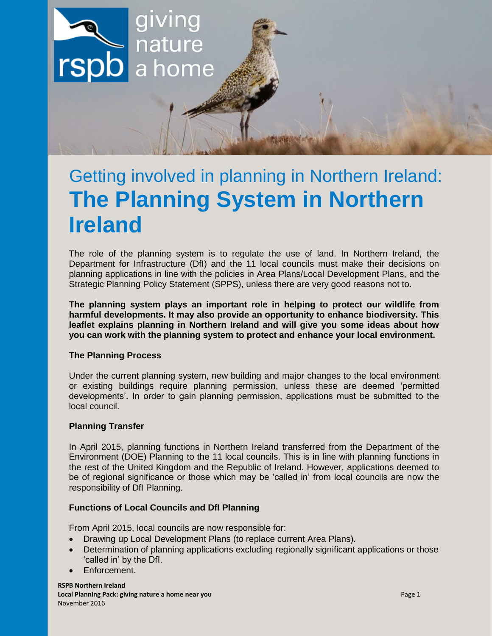

# Getting involved in planning in Northern Ireland: **The Planning System in Northern Ireland**

The role of the planning system is to regulate the use of land. In Northern Ireland, the Department for Infrastructure (DfI) and the 11 local councils must make their decisions on planning applications in line with the policies in Area Plans/Local Development Plans, and the Strategic Planning Policy Statement (SPPS), unless there are very good reasons not to.

**The planning system plays an important role in helping to protect our wildlife from harmful developments. It may also provide an opportunity to enhance biodiversity. This leaflet explains planning in Northern Ireland and will give you some ideas about how you can work with the planning system to protect and enhance your local environment.** 

# **The Planning Process**

Under the current planning system, new building and major changes to the local environment or existing buildings require planning permission, unless these are deemed 'permitted developments'. In order to gain planning permission, applications must be submitted to the local council.

# **Planning Transfer**

In April 2015, planning functions in Northern Ireland transferred from the Department of the Environment (DOE) Planning to the 11 local councils. This is in line with planning functions in the rest of the United Kingdom and the Republic of Ireland. However, applications deemed to be of regional significance or those which may be 'called in' from local councils are now the responsibility of DfI Planning.

## **Functions of Local Councils and DfI Planning**

From April 2015, local councils are now responsible for:

- Drawing up Local Development Plans (to replace current Area Plans).
- Determination of planning applications excluding regionally significant applications or those 'called in' by the DfI.
- Enforcement.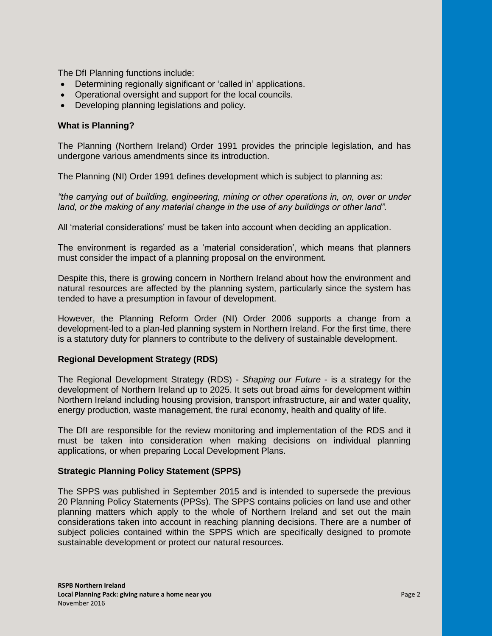The DfI Planning functions include:

- Determining regionally significant or 'called in' applications.
- Operational oversight and support for the local councils.
- Developing planning legislations and policy.

# **What is Planning?**

The Planning (Northern Ireland) Order 1991 provides the principle legislation, and has undergone various amendments since its introduction.

The Planning (NI) Order 1991 defines development which is subject to planning as:

*"the carrying out of building, engineering, mining or other operations in, on, over or under*  land, or the making of any material change in the use of any buildings or other land".

All 'material considerations' must be taken into account when deciding an application.

The environment is regarded as a 'material consideration', which means that planners must consider the impact of a planning proposal on the environment.

Despite this, there is growing concern in Northern Ireland about how the environment and natural resources are affected by the planning system, particularly since the system has tended to have a presumption in favour of development.

However, the Planning Reform Order (NI) Order 2006 supports a change from a development-led to a plan-led planning system in Northern Ireland. For the first time, there is a statutory duty for planners to contribute to the delivery of sustainable development.

# **Regional Development Strategy (RDS)**

The Regional Development Strategy (RDS) - *Shaping our Future* - is a strategy for the development of Northern Ireland up to 2025. It sets out broad aims for development within Northern Ireland including housing provision, transport infrastructure, air and water quality, energy production, waste management, the rural economy, health and quality of life.

The DfI are responsible for the review monitoring and implementation of the RDS and it must be taken into consideration when making decisions on individual planning applications, or when preparing Local Development Plans.

## **Strategic Planning Policy Statement (SPPS)**

The SPPS was published in September 2015 and is intended to supersede the previous 20 Planning Policy Statements (PPSs). The SPPS contains policies on land use and other planning matters which apply to the whole of Northern Ireland and set out the main considerations taken into account in reaching planning decisions. There are a number of subject policies contained within the SPPS which are specifically designed to promote sustainable development or protect our natural resources.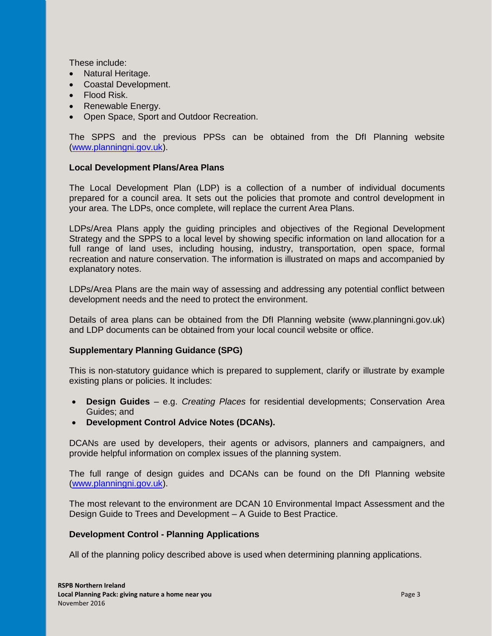These include:

- Natural Heritage.
- Coastal Development.
- Flood Risk.
- Renewable Energy.
- Open Space, Sport and Outdoor Recreation.

The SPPS and the previous PPSs can be obtained from the DfI Planning website [\(www.planningni.gov.uk\)](http://www.planningni.gov.uk/).

# **Local Development Plans/Area Plans**

The Local Development Plan (LDP) is a collection of a number of individual documents prepared for a council area. It sets out the policies that promote and control development in your area. The LDPs, once complete, will replace the current Area Plans.

LDPs/Area Plans apply the guiding principles and objectives of the Regional Development Strategy and the SPPS to a local level by showing specific information on land allocation for a full range of land uses, including housing, industry, transportation, open space, formal recreation and nature conservation. The information is illustrated on maps and accompanied by explanatory notes.

LDPs/Area Plans are the main way of assessing and addressing any potential conflict between development needs and the need to protect the environment.

Details of area plans can be obtained from the DfI Planning website (www.planningni.gov.uk) and LDP documents can be obtained from your local council website or office.

# **Supplementary Planning Guidance (SPG)**

This is non-statutory guidance which is prepared to supplement, clarify or illustrate by example existing plans or policies. It includes:

- **Design Guides**  e.g. *Creating Places* for residential developments; Conservation Area Guides; and
- **Development Control Advice Notes (DCANs).**

DCANs are used by developers, their agents or advisors, planners and campaigners, and provide helpful information on complex issues of the planning system.

The full range of design guides and DCANs can be found on the DfI Planning website [\(www.planningni.gov.uk\)](http://www.planningni.gov.uk/).

The most relevant to the environment are DCAN 10 Environmental Impact Assessment and the Design Guide to Trees and Development – A Guide to Best Practice.

# **Development Control - Planning Applications**

All of the planning policy described above is used when determining planning applications.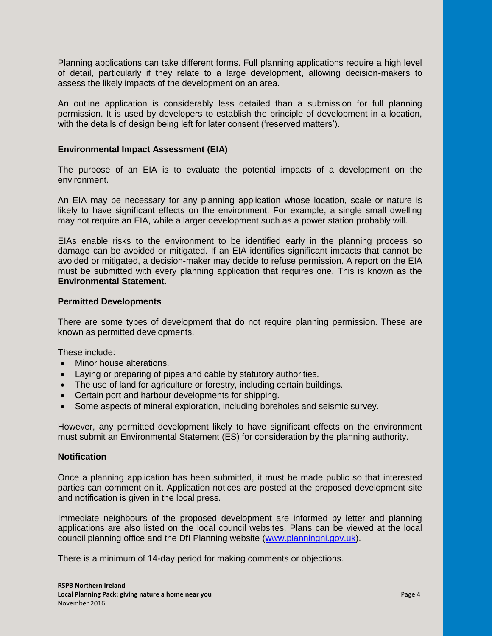Planning applications can take different forms. Full planning applications require a high level of detail, particularly if they relate to a large development, allowing decision-makers to assess the likely impacts of the development on an area.

An outline application is considerably less detailed than a submission for full planning permission. It is used by developers to establish the principle of development in a location, with the details of design being left for later consent ('reserved matters').

## **Environmental Impact Assessment (EIA)**

The purpose of an EIA is to evaluate the potential impacts of a development on the environment.

An EIA may be necessary for any planning application whose location, scale or nature is likely to have significant effects on the environment. For example, a single small dwelling may not require an EIA, while a larger development such as a power station probably will.

EIAs enable risks to the environment to be identified early in the planning process so damage can be avoided or mitigated. If an EIA identifies significant impacts that cannot be avoided or mitigated, a decision-maker may decide to refuse permission. A report on the EIA must be submitted with every planning application that requires one. This is known as the **Environmental Statement**.

## **Permitted Developments**

There are some types of development that do not require planning permission. These are known as permitted developments.

These include:

- Minor house alterations.
- Laying or preparing of pipes and cable by statutory authorities.
- The use of land for agriculture or forestry, including certain buildings.
- Certain port and harbour developments for shipping.
- Some aspects of mineral exploration, including boreholes and seismic survey.

However, any permitted development likely to have significant effects on the environment must submit an Environmental Statement (ES) for consideration by the planning authority.

## **Notification**

Once a planning application has been submitted, it must be made public so that interested parties can comment on it. Application notices are posted at the proposed development site and notification is given in the local press.

Immediate neighbours of the proposed development are informed by letter and planning applications are also listed on the local council websites. Plans can be viewed at the local council planning office and the DfI Planning website [\(www.planningni.gov.uk\)](http://www.planningni.gov.uk/).

There is a minimum of 14-day period for making comments or objections.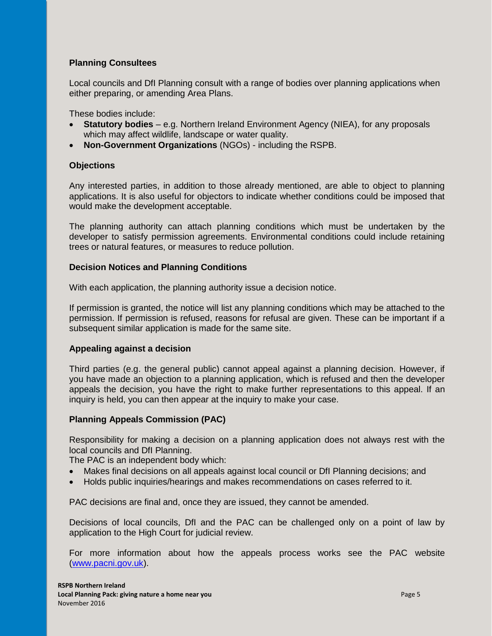# **Planning Consultees**

Local councils and DfI Planning consult with a range of bodies over planning applications when either preparing, or amending Area Plans.

These bodies include:

- **Statutory bodies** e.g. Northern Ireland Environment Agency (NIEA), for any proposals which may affect wildlife, landscape or water quality.
- **Non-Government Organizations** (NGOs) including the RSPB.

## **Objections**

Any interested parties, in addition to those already mentioned, are able to object to planning applications. It is also useful for objectors to indicate whether conditions could be imposed that would make the development acceptable.

The planning authority can attach planning conditions which must be undertaken by the developer to satisfy permission agreements. Environmental conditions could include retaining trees or natural features, or measures to reduce pollution.

## **Decision Notices and Planning Conditions**

With each application, the planning authority issue a decision notice.

If permission is granted, the notice will list any planning conditions which may be attached to the permission. If permission is refused, reasons for refusal are given. These can be important if a subsequent similar application is made for the same site.

## **Appealing against a decision**

Third parties (e.g. the general public) cannot appeal against a planning decision. However, if you have made an objection to a planning application, which is refused and then the developer appeals the decision, you have the right to make further representations to this appeal. If an inquiry is held, you can then appear at the inquiry to make your case.

# **Planning Appeals Commission (PAC)**

Responsibility for making a decision on a planning application does not always rest with the local councils and DfI Planning.

The PAC is an independent body which:

- Makes final decisions on all appeals against local council or DfI Planning decisions; and
- Holds public inquiries/hearings and makes recommendations on cases referred to it.

PAC decisions are final and, once they are issued, they cannot be amended.

Decisions of local councils, DfI and the PAC can be challenged only on a point of law by application to the High Court for judicial review.

For more information about how the appeals process works see the PAC website [\(www.pacni.gov.uk\)](http://www.pacni.gov.uk/).